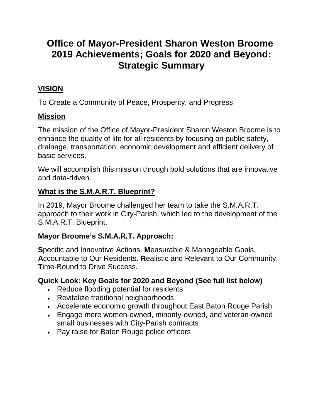# **Office of Mayor-President Sharon Weston Broome 2019 Achievements; Goals for 2020 and Beyond: Strategic Summary**

# **VISION**

To Create a Community of Peace, Prosperity, and Progress

#### **Mission**

The mission of the Office of Mayor-President Sharon Weston Broome is to enhance the quality of life for all residents by focusing on public safety, drainage, transportation, economic development and efficient delivery of basic services.

We will accomplish this mission through bold solutions that are innovative and data-driven.

#### **What is the S.M.A.R.T. Blueprint?**

In 2019, Mayor Broome challenged her team to take the S.M.A.R.T. approach to their work in City-Parish, which led to the development of the S.M.A.R.T. Blueprint.

#### **Mayor Broome's S.M.A.R.T. Approach:**

**S**pecific and Innovative Actions. **M**easurable & Manageable Goals. **A**ccountable to Our Residents. **R**ealistic and Relevant to Our Community. **T**ime-Bound to Drive Success.

#### **Quick Look: Key Goals for 2020 and Beyond (See full list below)**

- Reduce flooding potential for residents
- Revitalize traditional neighborhoods
- Accelerate economic growth throughout East Baton Rouge Parish
- Engage more women-owned, minority-owned, and veteran-owned small businesses with City-Parish contracts
- Pay raise for Baton Rouge police officers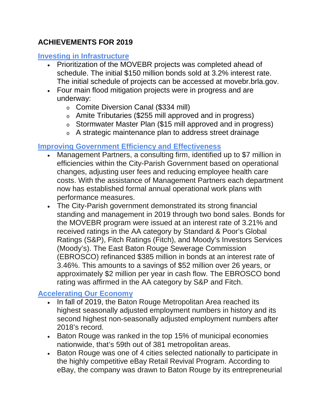# **ACHIEVEMENTS FOR 2019**

#### **Investing in Infrastructure**

- Prioritization of the MOVEBR projects was completed ahead of schedule. The initial \$150 million bonds sold at 3.2% interest rate. The initial schedule of projects can be accessed at movebr.brla.gov.
- Four main flood mitigation projects were in progress and are underway:
	- <sup>o</sup> Comite Diversion Canal (\$334 mill)
	- <sup>o</sup> Amite Tributaries (\$255 mill approved and in progress)
	- <sup>o</sup> Stormwater Master Plan (\$15 mill approved and in progress)
	- <sup>o</sup> A strategic maintenance plan to address street drainage

# **Improving Government Efficiency and Effectiveness**

- Management Partners, a consulting firm, identified up to \$7 million in efficiencies within the City-Parish Government based on operational changes, adjusting user fees and reducing employee health care costs. With the assistance of Management Partners each department now has established formal annual operational work plans with performance measures.
- The City-Parish government demonstrated its strong financial standing and management in 2019 through two bond sales. Bonds for the MOVEBR program were issued at an interest rate of 3.21% and received ratings in the AA category by Standard & Poor's Global Ratings (S&P), Fitch Ratings (Fitch), and Moody's Investors Services (Moody's). The East Baton Rouge Sewerage Commission (EBROSCO) refinanced \$385 million in bonds at an interest rate of 3.46%. This amounts to a savings of \$52 million over 26 years, or approximately \$2 million per year in cash flow. The EBROSCO bond rating was affirmed in the AA category by S&P and Fitch.

# **Accelerating Our Economy**

- In fall of 2019, the Baton Rouge Metropolitan Area reached its highest seasonally adjusted employment numbers in history and its second highest non-seasonally adjusted employment numbers after 2018's record.
- Baton Rouge was ranked in the top 15% of municipal economies nationwide, that's 59th out of 381 metropolitan areas.
- Baton Rouge was one of 4 cities selected nationally to participate in the highly competitive eBay Retail Revival Program. According to eBay, the company was drawn to Baton Rouge by its entrepreneurial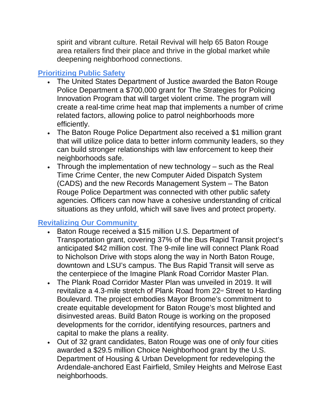spirit and vibrant culture. Retail Revival will help 65 Baton Rouge area retailers find their place and thrive in the global market while deepening neighborhood connections.

# **Prioritizing Public Safety**

- The United States Department of Justice awarded the Baton Rouge Police Department a \$700,000 grant for The Strategies for Policing Innovation Program that will target violent crime. The program will create a real-time crime heat map that implements a number of crime related factors, allowing police to patrol neighborhoods more efficiently.
- The Baton Rouge Police Department also received a \$1 million grant that will utilize police data to better inform community leaders, so they can build stronger relationships with law enforcement to keep their neighborhoods safe.
- Through the implementation of new technology such as the Real Time Crime Center, the new Computer Aided Dispatch System (CADS) and the new Records Management System – The Baton Rouge Police Department was connected with other public safety agencies. Officers can now have a cohesive understanding of critical situations as they unfold, which will save lives and protect property.

# **Revitalizing Our Community**

- Baton Rouge received a \$15 million U.S. Department of Transportation grant, covering 37% of the Bus Rapid Transit project's anticipated \$42 million cost. The 9-mile line will connect Plank Road to Nicholson Drive with stops along the way in North Baton Rouge, downtown and LSU's campus. The Bus Rapid Transit will serve as the centerpiece of the Imagine Plank Road Corridor Master Plan.
- The Plank Road Corridor Master Plan was unveiled in 2019. It will revitalize a 4.3-mile stretch of Plank Road from 22<sup>nd</sup> Street to Harding Boulevard. The project embodies Mayor Broome's commitment to create equitable development for Baton Rouge's most blighted and disinvested areas. Build Baton Rouge is working on the proposed developments for the corridor, identifying resources, partners and capital to make the plans a reality.
- Out of 32 grant candidates, Baton Rouge was one of only four cities awarded a \$29.5 million Choice Neighborhood grant by the U.S. Department of Housing & Urban Development for redeveloping the Ardendale-anchored East Fairfield, Smiley Heights and Melrose East neighborhoods.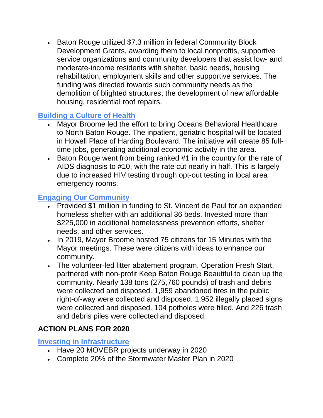• Baton Rouge utilized \$7.3 million in federal Community Block Development Grants, awarding them to local nonprofits, supportive service organizations and community developers that assist low- and moderate-income residents with shelter, basic needs, housing rehabilitation, employment skills and other supportive services. The funding was directed towards such community needs as the demolition of blighted structures, the development of new affordable housing, residential roof repairs.

### **Building a Culture of Health**

- Mayor Broome led the effort to bring Oceans Behavioral Healthcare to North Baton Rouge. The inpatient, geriatric hospital will be located in Howell Place of Harding Boulevard. The initiative will create 85 fulltime jobs, generating additional economic activity in the area.
- Baton Rouge went from being ranked #1 in the country for the rate of AIDS diagnosis to #10, with the rate cut nearly in half. This is largely due to increased HIV testing through opt-out testing in local area emergency rooms.

# **Engaging Our Community**

- Provided \$1 million in funding to St. Vincent de Paul for an expanded homeless shelter with an additional 36 beds. Invested more than \$225,000 in additional homelessness prevention efforts, shelter needs, and other services.
- In 2019, Mayor Broome hosted 75 citizens for 15 Minutes with the Mayor meetings. These were citizens with ideas to enhance our community.
- The volunteer-led litter abatement program, Operation Fresh Start, partnered with non-profit Keep Baton Rouge Beautiful to clean up the community. Nearly 138 tons (275,760 pounds) of trash and debris were collected and disposed. 1,959 abandoned tires in the public right-of-way were collected and disposed. 1,952 illegally placed signs were collected and disposed. 104 potholes were filled. And 226 trash and debris piles were collected and disposed.

# **ACTION PLANS FOR 2020**

#### **Investing in Infrastructure**

- Have 20 MOVEBR projects underway in 2020
- Complete 20% of the Stormwater Master Plan in 2020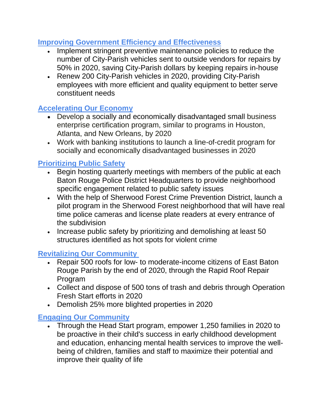#### **Improving Government Efficiency and Effectiveness**

- Implement stringent preventive maintenance policies to reduce the number of City-Parish vehicles sent to outside vendors for repairs by 50% in 2020, saving City-Parish dollars by keeping repairs in-house
- Renew 200 City-Parish vehicles in 2020, providing City-Parish employees with more efficient and quality equipment to better serve constituent needs

### **Accelerating Our Economy**

- Develop a socially and economically disadvantaged small business enterprise certification program, similar to programs in Houston, Atlanta, and New Orleans, by 2020
- Work with banking institutions to launch a line-of-credit program for socially and economically disadvantaged businesses in 2020

#### **Prioritizing Public Safety**

- Begin hosting quarterly meetings with members of the public at each Baton Rouge Police District Headquarters to provide neighborhood specific engagement related to public safety issues
- With the help of Sherwood Forest Crime Prevention District, launch a pilot program in the Sherwood Forest neighborhood that will have real time police cameras and license plate readers at every entrance of the subdivision
- Increase public safety by prioritizing and demolishing at least 50 structures identified as hot spots for violent crime

#### **Revitalizing Our Community**

- Repair 500 roofs for low- to moderate-income citizens of East Baton Rouge Parish by the end of 2020, through the Rapid Roof Repair Program
- Collect and dispose of 500 tons of trash and debris through Operation Fresh Start efforts in 2020
- Demolish 25% more blighted properties in 2020

### **Engaging Our Community**

• Through the Head Start program, empower 1,250 families in 2020 to be proactive in their child's success in early childhood development and education, enhancing mental health services to improve the wellbeing of children, families and staff to maximize their potential and improve their quality of life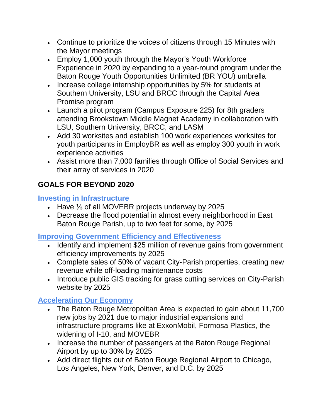- Continue to prioritize the voices of citizens through 15 Minutes with the Mayor meetings
- Employ 1,000 youth through the Mayor's Youth Workforce Experience in 2020 by expanding to a year-round program under the Baton Rouge Youth Opportunities Unlimited (BR YOU) umbrella
- Increase college internship opportunities by 5% for students at Southern University, LSU and BRCC through the Capital Area Promise program
- Launch a pilot program (Campus Exposure 225) for 8th graders attending Brookstown Middle Magnet Academy in collaboration with LSU, Southern University, BRCC, and LASM
- Add 30 worksites and establish 100 work experiences worksites for youth participants in EmployBR as well as employ 300 youth in work experience activities
- Assist more than 7,000 families through Office of Social Services and their array of services in 2020

# **GOALS FOR BEYOND 2020**

#### **Investing in Infrastructure**

- Have ⅓ of all MOVEBR projects underway by 2025
- Decrease the flood potential in almost every neighborhood in East Baton Rouge Parish, up to two feet for some, by 2025

#### **Improving Government Efficiency and Effectiveness**

- Identify and implement \$25 million of revenue gains from government efficiency improvements by 2025
- Complete sales of 50% of vacant City-Parish properties, creating new revenue while off-loading maintenance costs
- Introduce public GIS tracking for grass cutting services on City-Parish website by 2025

# **Accelerating Our Economy**

- The Baton Rouge Metropolitan Area is expected to gain about 11,700 new jobs by 2021 due to major industrial expansions and infrastructure programs like at ExxonMobil, Formosa Plastics, the widening of I-10, and MOVEBR
- Increase the number of passengers at the Baton Rouge Regional Airport by up to 30% by 2025
- Add direct flights out of Baton Rouge Regional Airport to Chicago, Los Angeles, New York, Denver, and D.C. by 2025